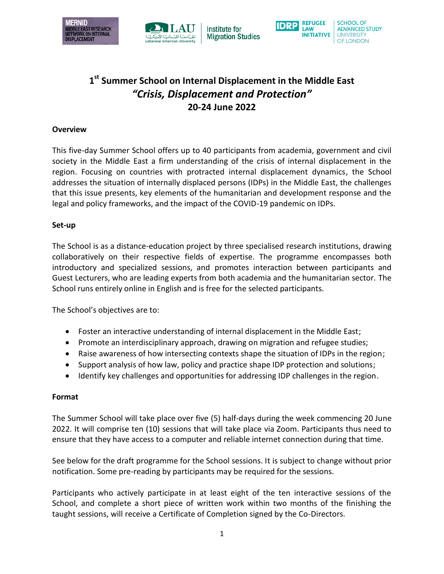



**Institute for Migration Studies** 



# **1 st Summer School on Internal Displacement in the Middle East** *"Crisis, Displacement and Protection"* **20-24 June 2022**

### **Overview**

This five-day Summer School offers up to 40 participants from academia, government and civil society in the Middle East a firm understanding of the crisis of internal displacement in the region. Focusing on countries with protracted internal displacement dynamics, the School addresses the situation of internally displaced persons (IDPs) in the Middle East, the challenges that this issue presents, key elements of the humanitarian and development response and the legal and policy frameworks, and the impact of the COVID-19 pandemic on IDPs.

#### **Set-up**

The School is as a distance-education project by three specialised research institutions, drawing collaboratively on their respective fields of expertise. The programme encompasses both introductory and specialized sessions, and promotes interaction between participants and Guest Lecturers, who are leading experts from both academia and the humanitarian sector. The School runs entirely online in English and is free for the selected participants.

The School's objectives are to:

- Foster an interactive understanding of internal displacement in the Middle East;
- Promote an interdisciplinary approach, drawing on migration and refugee studies;
- Raise awareness of how intersecting contexts shape the situation of IDPs in the region;
- Support analysis of how law, policy and practice shape IDP protection and solutions;
- Identify key challenges and opportunities for addressing IDP challenges in the region.

#### **Format**

The Summer School will take place over five (5) half-days during the week commencing 20 June 2022. It will comprise ten (10) sessions that will take place via Zoom. Participants thus need to ensure that they have access to a computer and reliable internet connection during that time.

See below for the draft programme for the School sessions. It is subject to change without prior notification. Some pre-reading by participants may be required for the sessions.

Participants who actively participate in at least eight of the ten interactive sessions of the School, and complete a short piece of written work within two months of the finishing the taught sessions, will receive a Certificate of Completion signed by the Co-Directors.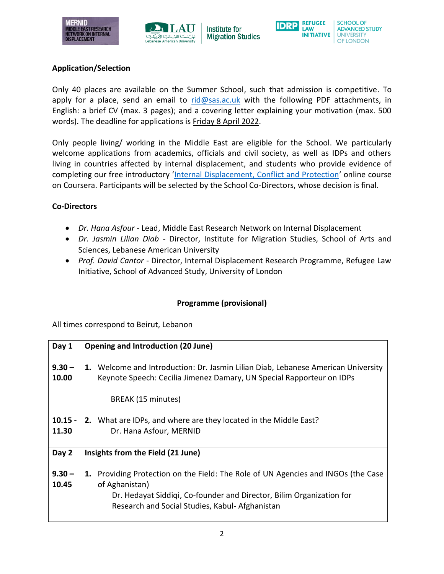



**Institute for Migration Studies** 



## **Application/Selection**

Only 40 places are available on the Summer School, such that admission is competitive. To apply for a place, send an email to  $rid@sas.ac.uk$  with the following PDF attachments, in English: a brief CV (max. 3 pages); and a covering letter explaining your motivation (max. 500 words). The deadline for applications is Friday 8 April 2022.

Only people living/ working in the Middle East are eligible for the School. We particularly welcome applications from academics, officials and civil society, as well as IDPs and others living in countries affected by internal displacement, and students who provide evidence of completing our free introductory '[Internal Displacement, Conflict and Protection](https://www.coursera.org/learn/internal-displacement-conflict-and-protection)' online course on Coursera. Participants will be selected by the School Co-Directors, whose decision is final.

## **Co-Directors**

- *Dr. Hana Asfour* Lead, Middle East Research Network on Internal Displacement
- *Dr. Jasmin Lilian Diab* Director, Institute for Migration Studies, School of Arts and Sciences, Lebanese American University
- *Prof. David Cantor* Director, Internal Displacement Research Programme, Refugee Law Initiative, School of Advanced Study, University of London

# **Programme (provisional)**

All times correspond to Beirut, Lebanon

| Day 1              | <b>Opening and Introduction (20 June)</b>                                                                                                                                                                                      |
|--------------------|--------------------------------------------------------------------------------------------------------------------------------------------------------------------------------------------------------------------------------|
| $9.30 -$<br>10.00  | 1. Welcome and Introduction: Dr. Jasmin Lilian Diab, Lebanese American University<br>Keynote Speech: Cecilia Jimenez Damary, UN Special Rapporteur on IDPs                                                                     |
|                    | BREAK (15 minutes)                                                                                                                                                                                                             |
| $10.15 -$<br>11.30 | 2. What are IDPs, and where are they located in the Middle East?<br>Dr. Hana Asfour, MERNID                                                                                                                                    |
| Day 2              | Insights from the Field (21 June)                                                                                                                                                                                              |
| $9.30 -$<br>10.45  | 1. Providing Protection on the Field: The Role of UN Agencies and INGOs (the Case<br>of Aghanistan)<br>Dr. Hedayat Siddiqi, Co-founder and Director, Bilim Organization for<br>Research and Social Studies, Kabul- Afghanistan |